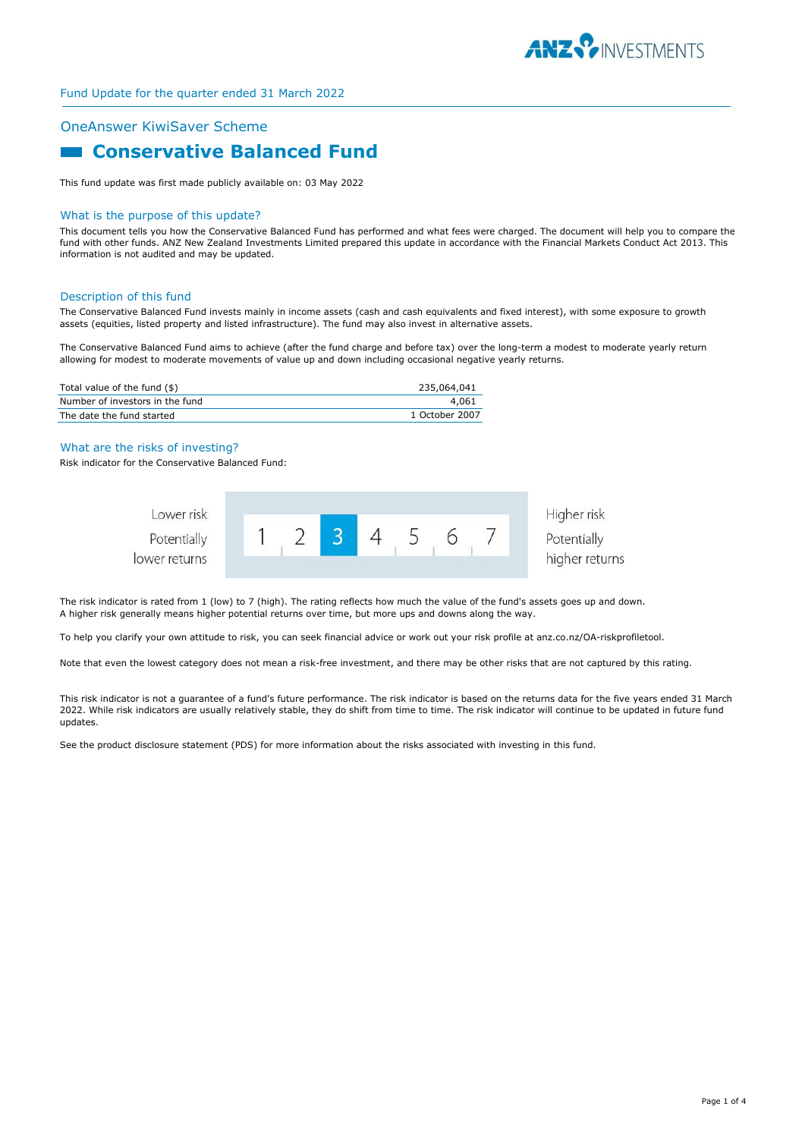

# OneAnswer KiwiSaver Scheme

# **Conservative Balanced Fund**

This fund update was first made publicly available on: 03 May 2022

#### What is the purpose of this update?

This document tells you how the Conservative Balanced Fund has performed and what fees were charged. The document will help you to compare the fund with other funds. ANZ New Zealand Investments Limited prepared this update in accordance with the Financial Markets Conduct Act 2013. This information is not audited and may be updated.

#### Description of this fund

The Conservative Balanced Fund invests mainly in income assets (cash and cash equivalents and fixed interest), with some exposure to growth assets (equities, listed property and listed infrastructure). The fund may also invest in alternative assets.

The Conservative Balanced Fund aims to achieve (after the fund charge and before tax) over the long-term a modest to moderate yearly return allowing for modest to moderate movements of value up and down including occasional negative yearly returns.

| Total value of the fund (\$)    | 235,064,041    |
|---------------------------------|----------------|
| Number of investors in the fund | 4.061          |
| The date the fund started       | 1 October 2007 |

#### What are the risks of investing?

Risk indicator for the Conservative Balanced Fund:



The risk indicator is rated from 1 (low) to 7 (high). The rating reflects how much the value of the fund's assets goes up and down. A higher risk generally means higher potential returns over time, but more ups and downs along the way.

To help you clarify your own attitude to risk, you can seek financial advice or work out your risk profile at anz.co.nz/OA-riskprofiletool.

Note that even the lowest category does not mean a risk-free investment, and there may be other risks that are not captured by this rating.

This risk indicator is not a guarantee of a fund's future performance. The risk indicator is based on the returns data for the five years ended 31 March 2022. While risk indicators are usually relatively stable, they do shift from time to time. The risk indicator will continue to be updated in future fund updates.

See the product disclosure statement (PDS) for more information about the risks associated with investing in this fund.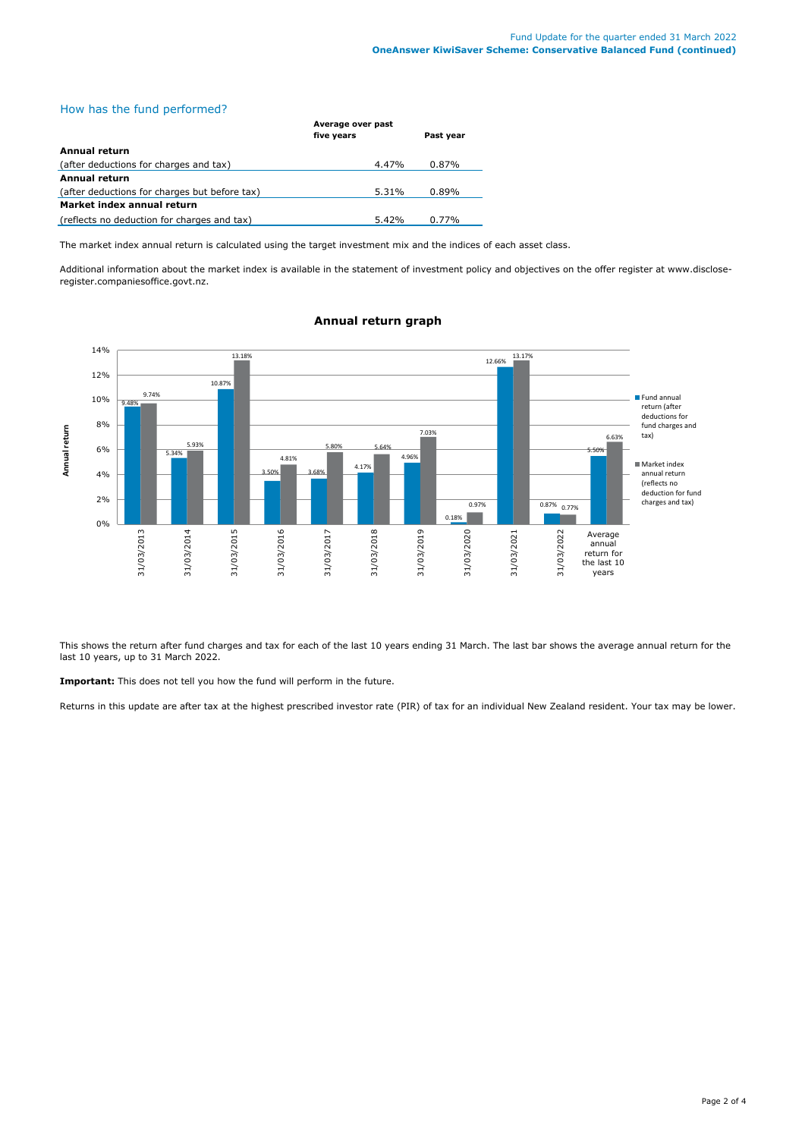# How has the fund performed?

|                                               | Average over past |           |  |
|-----------------------------------------------|-------------------|-----------|--|
|                                               | five years        | Past year |  |
| Annual return                                 |                   |           |  |
| (after deductions for charges and tax)        | 4.47%             | 0.87%     |  |
| Annual return                                 |                   |           |  |
| (after deductions for charges but before tax) | 5.31%             | 0.89%     |  |
| Market index annual return                    |                   |           |  |
| (reflects no deduction for charges and tax)   | 5.42%             | 0.77%     |  |

The market index annual return is calculated using the target investment mix and the indices of each asset class.

Additional information about the market index is available in the statement of investment policy and objectives on the offer register at www.discloseregister.companiesoffice.govt.nz.



## **Annual return graph**

This shows the return after fund charges and tax for each of the last 10 years ending 31 March. The last bar shows the average annual return for the last 10 years, up to 31 March 2022.

**Important:** This does not tell you how the fund will perform in the future.

Returns in this update are after tax at the highest prescribed investor rate (PIR) of tax for an individual New Zealand resident. Your tax may be lower.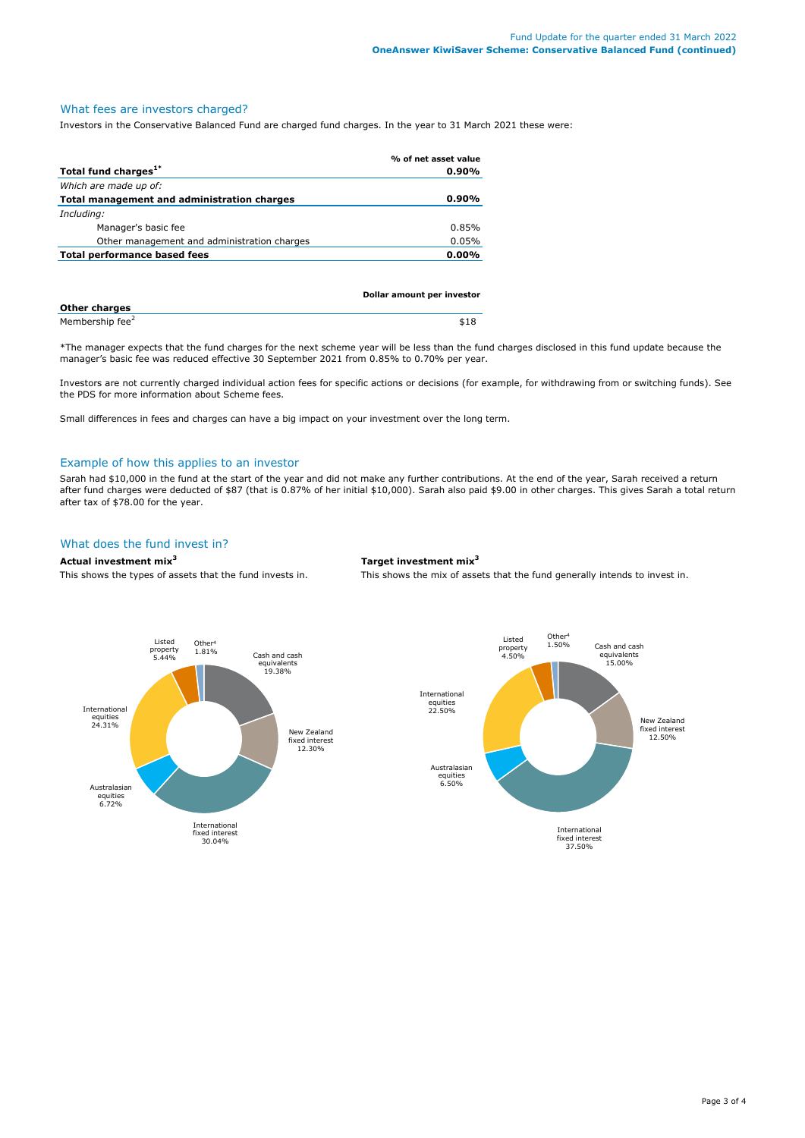# What fees are investors charged?

Investors in the Conservative Balanced Fund are charged fund charges. In the year to 31 March 2021 these were:

|                                             | % of net asset value |
|---------------------------------------------|----------------------|
| Total fund charges <sup>1*</sup>            | $0.90\%$             |
| Which are made up of:                       |                      |
| Total management and administration charges | $0.90\%$             |
| Including:                                  |                      |
| Manager's basic fee                         | 0.85%                |
| Other management and administration charges | 0.05%                |
| Total performance based fees                | $0.00\%$             |
|                                             |                      |

|                             | Dollar amount per investor |
|-----------------------------|----------------------------|
| <b>Other charges</b>        |                            |
| Membership fee <sup>2</sup> | \$18                       |

\*The manager expects that the fund charges for the next scheme year will be less than the fund charges disclosed in this fund update because the manager's basic fee was reduced effective 30 September 2021 from 0.85% to 0.70% per year.

Investors are not currently charged individual action fees for specific actions or decisions (for example, for withdrawing from or switching funds). See the PDS for more information about Scheme fees.

Small differences in fees and charges can have a big impact on your investment over the long term.

## Example of how this applies to an investor

Sarah had \$10,000 in the fund at the start of the year and did not make any further contributions. At the end of the year, Sarah received a return after fund charges were deducted of \$87 (that is 0.87% of her initial \$10,000). Sarah also paid \$9.00 in other charges. This gives Sarah a total return after tax of \$78.00 for the year.

## What does the fund invest in?

#### **Actual investment mix<sup>3</sup> Target investment mix<sup>3</sup>**

This shows the types of assets that the fund invests in. This shows the mix of assets that the fund generally intends to invest in.